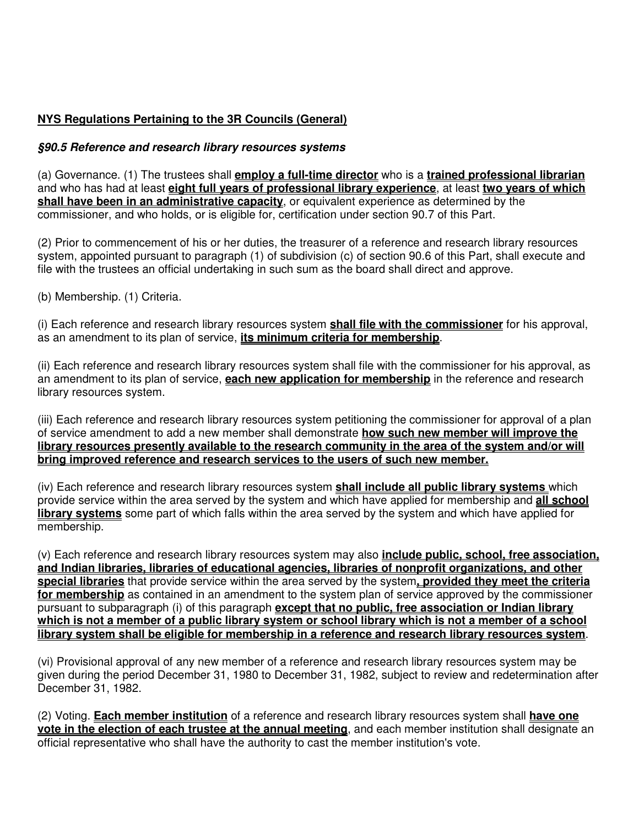## **NYS Regulations Pertaining to the 3R Councils (General)**

## **§90.5 Reference and research library resources systems**

(a) Governance. (1) The trustees shall **employ a full-time director** who is a **trained professional librarian** and who has had at least **eight full years of professional library experience**, at least **two years of which shall have been in an administrative capacity**, or equivalent experience as determined by the commissioner, and who holds, or is eligible for, certification under section 90.7 of this Part.

(2) Prior to commencement of his or her duties, the treasurer of a reference and research library resources system, appointed pursuant to paragraph (1) of subdivision (c) of section 90.6 of this Part, shall execute and file with the trustees an official undertaking in such sum as the board shall direct and approve.

(b) Membership. (1) Criteria.

(i) Each reference and research library resources system **shall file with the commissioner** for his approval, as an amendment to its plan of service, **its minimum criteria for membership**.

(ii) Each reference and research library resources system shall file with the commissioner for his approval, as an amendment to its plan of service, **each new application for membership** in the reference and research library resources system.

(iii) Each reference and research library resources system petitioning the commissioner for approval of a plan of service amendment to add a new member shall demonstrate **how such new member will improve the library resources presently available to the research community in the area of the system and/or will bring improved reference and research services to the users of such new member.**

(iv) Each reference and research library resources system **shall include all public library systems** which provide service within the area served by the system and which have applied for membership and **all school library systems** some part of which falls within the area served by the system and which have applied for membership.

(v) Each reference and research library resources system may also **include public, school, free association, and Indian libraries, libraries of educational agencies, libraries of nonprofit organizations, and other special libraries** that provide service within the area served by the system**, provided they meet the criteria for membership** as contained in an amendment to the system plan of service approved by the commissioner pursuant to subparagraph (i) of this paragraph **except that no public, free association or Indian library which is not a member of a public library system or school library which is not a member of a school library system shall be eligible for membership in a reference and research library resources system**.

(vi) Provisional approval of any new member of a reference and research library resources system may be given during the period December 31, 1980 to December 31, 1982, subject to review and redetermination after December 31, 1982.

(2) Voting. **Each member institution** of a reference and research library resources system shall **have one vote in the election of each trustee at the annual meeting**, and each member institution shall designate an official representative who shall have the authority to cast the member institution's vote.